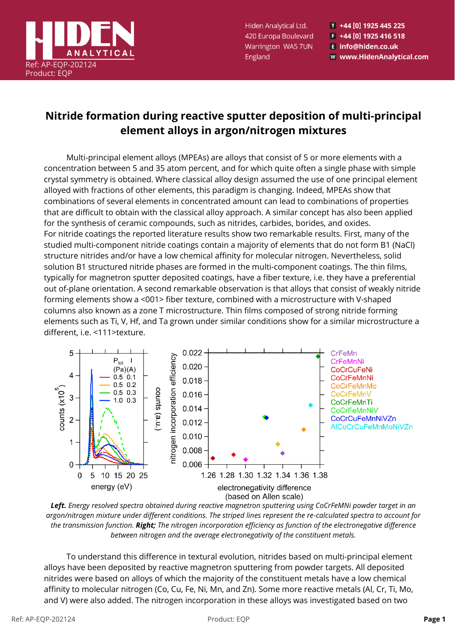

Hiden Analytical Ltd. 420 Europa Boulevard Warrington WA5 7UN England

T +44 [0] 1925 445 225  $F$  +44 [0] 1925 416 518 E info@hiden.co.uk w www.HidenAnalytical.com

## **Nitride formation during reactive sputter deposition of multi-principal element alloys in argon/nitrogen mixtures**

Multi-principal element alloys (MPEAs) are alloys that consist of 5 or more elements with a concentration between 5 and 35 atom percent, and for which quite often a single phase with simple crystal symmetry is obtained. Where classical alloy design assumed the use of one principal element alloyed with fractions of other elements, this paradigm is changing. Indeed, MPEAs show that combinations of several elements in concentrated amount can lead to combinations of properties that are difficult to obtain with the classical alloy approach. A similar concept has also been applied for the synthesis of ceramic compounds, such as nitrides, carbides, borides, and oxides. For nitride coatings the reported literature results show two remarkable results. First, many of the studied multi-component nitride coatings contain a majority of elements that do not form B1 (NaCl) structure nitrides and/or have a low chemical affinity for molecular nitrogen. Nevertheless, solid solution B1 structured nitride phases are formed in the multi-component coatings. The thin films, typically for magnetron sputter deposited coatings, have a fiber texture, i.e. they have a preferential out of-plane orientation. A second remarkable observation is that alloys that consist of weakly nitride forming elements show a <001> fiber texture, combined with a microstructure with V-shaped columns also known as a zone T microstructure. Thin films composed of strong nitride forming elements such as Ti, V, Hf, and Ta grown under similar conditions show for a similar microstructure a different, i.e. <111>texture.





To understand this difference in textural evolution, nitrides based on multi-principal element alloys have been deposited by reactive magnetron sputtering from powder targets. All deposited nitrides were based on alloys of which the majority of the constituent metals have a low chemical affinity to molecular nitrogen (Co, Cu, Fe, Ni, Mn, and Zn). Some more reactive metals (Al, Cr, Ti, Mo, and V) were also added. The nitrogen incorporation in these alloys was investigated based on two